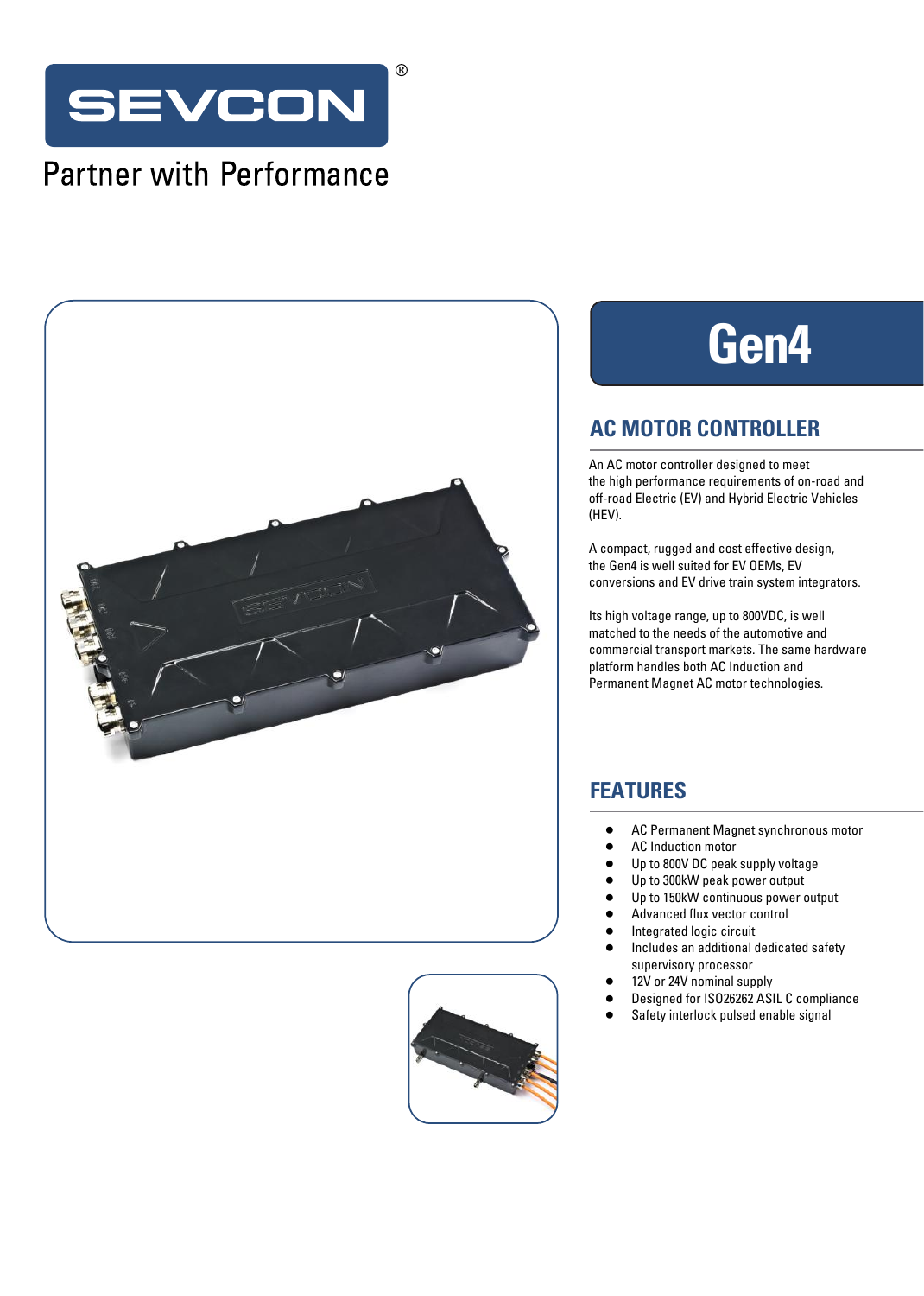

## **Partner with Performance**





# **Gen4**

### **AC MOTOR CONTROLLER**

An AC motor controller designed to meet the high performance requirements of on-road and off-road Electric (EV) and Hybrid Electric Vehicles (HEV).

A compact, rugged and cost effective design, the Gen4 is well suited for EV OEMs, EV conversions and EV drive train system integrators.

Its high voltage range, up to 800VDC, is well matched to the needs of the automotive and commercial transport markets. The same hardware platform handles both AC Induction and Permanent Magnet AC motor technologies.

## **FEATURES**

- **•** AC Permanent Magnet synchronous motor
- **•** AC Induction motor
- **•** Up to 800V DC peak supply voltage
- **•** Up to 300kW peak power output
- **•** Up to 150kW continuous power output
- **•** Advanced flux vector control
- **•** Integrated logic circuit
- **•** Includes an additional dedicated safety supervisory processor
- **•** 12V or 24V nominal supply
- **•** Designed for ISO26262 ASIL C compliance
- **•** Safety interlock pulsed enable signal